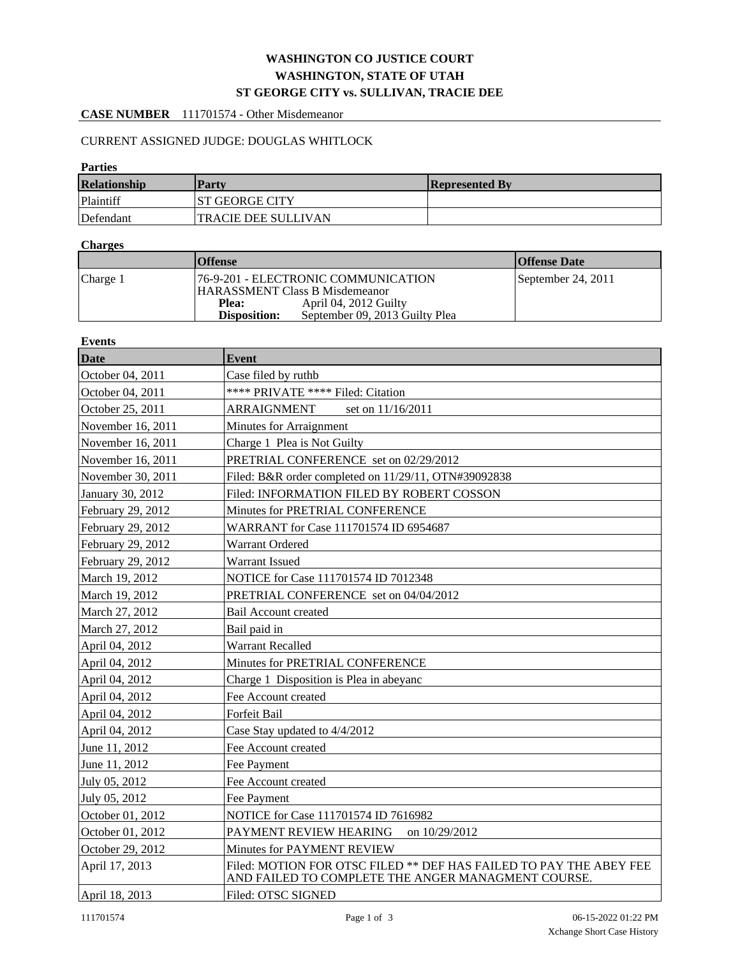# **WASHINGTON CO JUSTICE COURT WASHINGTON, STATE OF UTAH ST GEORGE CITY vs. SULLIVAN, TRACIE DEE**

### **CASE NUMBER** 111701574 - Other Misdemeanor

## CURRENT ASSIGNED JUDGE: DOUGLAS WHITLOCK

#### **Parties**

| <b>Relationship</b> | Party                      | <b>Represented By</b> |
|---------------------|----------------------------|-----------------------|
| Plaintiff           | IST GEORGE CITY            |                       |
| Defendant           | <b>TRACIE DEE SULLIVAN</b> |                       |

### **Charges**

|          | <b>Offense</b>                      |                                |  | <b>Offense Date</b> |
|----------|-------------------------------------|--------------------------------|--|---------------------|
| Charge 1 | 76-9-201 - ELECTRONIC COMMUNICATION |                                |  | September 24, 2011  |
|          | HARASSMENT Class B Misdemeanor      |                                |  |                     |
|          | Plea:                               | April 04, 2012 Guilty          |  |                     |
|          | <b>Disposition:</b>                 | September 09, 2013 Guilty Plea |  |                     |

#### **Events**

| Date              | <b>Event</b>                                                                                                             |  |  |  |  |
|-------------------|--------------------------------------------------------------------------------------------------------------------------|--|--|--|--|
| October 04, 2011  | Case filed by ruthb                                                                                                      |  |  |  |  |
| October 04, 2011  | **** PRIVATE **** Filed: Citation                                                                                        |  |  |  |  |
| October 25, 2011  | ARRAIGNMENT<br>set on 11/16/2011                                                                                         |  |  |  |  |
|                   |                                                                                                                          |  |  |  |  |
| November 16, 2011 | Minutes for Arraignment                                                                                                  |  |  |  |  |
| November 16, 2011 | Charge 1 Plea is Not Guilty                                                                                              |  |  |  |  |
| November 16, 2011 | PRETRIAL CONFERENCE set on 02/29/2012                                                                                    |  |  |  |  |
| November 30, 2011 | Filed: B&R order completed on 11/29/11, OTN#39092838                                                                     |  |  |  |  |
| January 30, 2012  | Filed: INFORMATION FILED BY ROBERT COSSON                                                                                |  |  |  |  |
| February 29, 2012 | Minutes for PRETRIAL CONFERENCE                                                                                          |  |  |  |  |
| February 29, 2012 | WARRANT for Case 111701574 ID 6954687                                                                                    |  |  |  |  |
| February 29, 2012 | Warrant Ordered                                                                                                          |  |  |  |  |
| February 29, 2012 | Warrant Issued                                                                                                           |  |  |  |  |
| March 19, 2012    | NOTICE for Case 111701574 ID 7012348                                                                                     |  |  |  |  |
| March 19, 2012    | PRETRIAL CONFERENCE set on 04/04/2012                                                                                    |  |  |  |  |
| March 27, 2012    | Bail Account created                                                                                                     |  |  |  |  |
| March 27, 2012    | Bail paid in                                                                                                             |  |  |  |  |
| April 04, 2012    | <b>Warrant Recalled</b>                                                                                                  |  |  |  |  |
| April 04, 2012    | Minutes for PRETRIAL CONFERENCE                                                                                          |  |  |  |  |
| April 04, 2012    | Charge 1 Disposition is Plea in abeyanc                                                                                  |  |  |  |  |
| April 04, 2012    | Fee Account created                                                                                                      |  |  |  |  |
| April 04, 2012    | Forfeit Bail                                                                                                             |  |  |  |  |
| April 04, 2012    | Case Stay updated to 4/4/2012                                                                                            |  |  |  |  |
| June 11, 2012     | Fee Account created                                                                                                      |  |  |  |  |
| June 11, 2012     | Fee Payment                                                                                                              |  |  |  |  |
| July 05, 2012     | Fee Account created                                                                                                      |  |  |  |  |
| July 05, 2012     | Fee Payment                                                                                                              |  |  |  |  |
| October 01, 2012  | NOTICE for Case 111701574 ID 7616982                                                                                     |  |  |  |  |
| October 01, 2012  | PAYMENT REVIEW HEARING<br>on 10/29/2012                                                                                  |  |  |  |  |
| October 29, 2012  | Minutes for PAYMENT REVIEW                                                                                               |  |  |  |  |
| April 17, 2013    | Filed: MOTION FOR OTSC FILED ** DEF HAS FAILED TO PAY THE ABEY FEE<br>AND FAILED TO COMPLETE THE ANGER MANAGMENT COURSE. |  |  |  |  |
| April 18, 2013    | Filed: OTSC SIGNED                                                                                                       |  |  |  |  |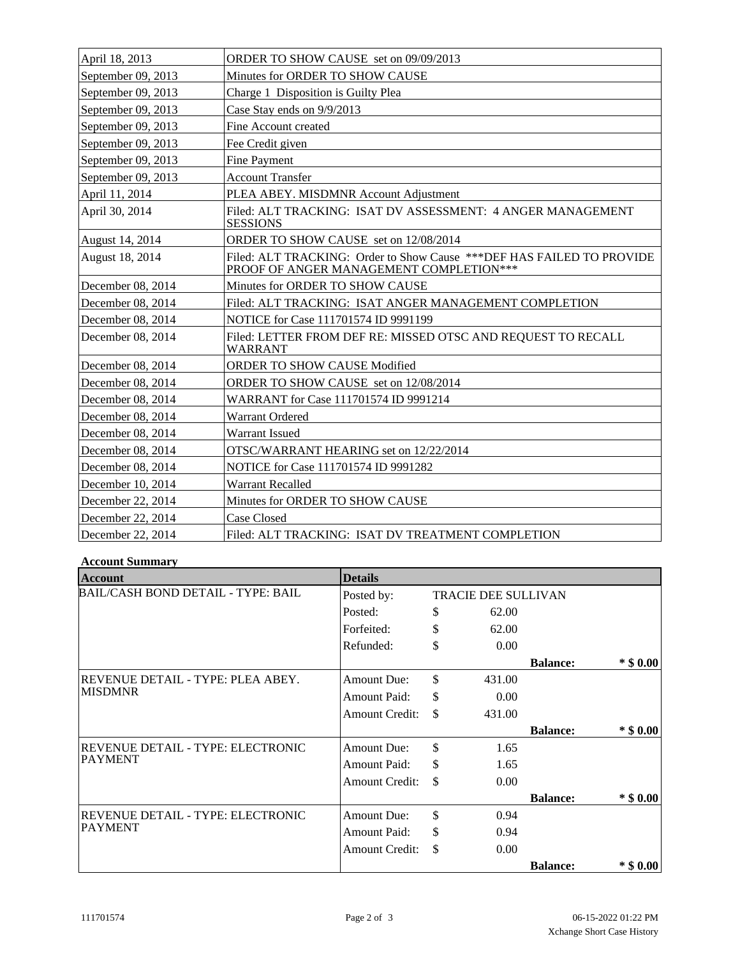| April 18, 2013     | ORDER TO SHOW CAUSE set on 09/09/2013                                                                              |
|--------------------|--------------------------------------------------------------------------------------------------------------------|
| September 09, 2013 | Minutes for ORDER TO SHOW CAUSE                                                                                    |
| September 09, 2013 | Charge 1 Disposition is Guilty Plea                                                                                |
| September 09, 2013 | Case Stay ends on 9/9/2013                                                                                         |
| September 09, 2013 | Fine Account created                                                                                               |
| September 09, 2013 | Fee Credit given                                                                                                   |
| September 09, 2013 | <b>Fine Payment</b>                                                                                                |
| September 09, 2013 | <b>Account Transfer</b>                                                                                            |
| April 11, 2014     | PLEA ABEY. MISDMNR Account Adjustment                                                                              |
| April 30, 2014     | Filed: ALT TRACKING: ISAT DV ASSESSMENT: 4 ANGER MANAGEMENT<br><b>SESSIONS</b>                                     |
| August 14, 2014    | <b>ORDER TO SHOW CAUSE</b> set on 12/08/2014                                                                       |
| August 18, 2014    | Filed: ALT TRACKING: Order to Show Cause *** DEF HAS FAILED TO PROVIDE<br>PROOF OF ANGER MANAGEMENT COMPLETION *** |
| December 08, 2014  | Minutes for ORDER TO SHOW CAUSE                                                                                    |
| December 08, 2014  | Filed: ALT TRACKING: ISAT ANGER MANAGEMENT COMPLETION                                                              |
| December 08, 2014  | NOTICE for Case 111701574 ID 9991199                                                                               |
| December 08, 2014  | Filed: LETTER FROM DEF RE: MISSED OTSC AND REQUEST TO RECALL<br><b>WARRANT</b>                                     |
| December 08, 2014  | <b>ORDER TO SHOW CAUSE Modified</b>                                                                                |
| December 08, 2014  | ORDER TO SHOW CAUSE set on 12/08/2014                                                                              |
| December 08, 2014  | WARRANT for Case 111701574 ID 9991214                                                                              |
| December 08, 2014  | <b>Warrant Ordered</b>                                                                                             |
| December 08, 2014  | Warrant Issued                                                                                                     |
| December 08, 2014  | OTSC/WARRANT HEARING set on 12/22/2014                                                                             |
| December 08, 2014  | NOTICE for Case 111701574 ID 9991282                                                                               |
| December 10, 2014  | Warrant Recalled                                                                                                   |
| December 22, 2014  | Minutes for ORDER TO SHOW CAUSE                                                                                    |
| December 22, 2014  | Case Closed                                                                                                        |
| December 22, 2014  | Filed: ALT TRACKING: ISAT DV TREATMENT COMPLETION                                                                  |

## **Account Summary**

| Account                                   | <b>Details</b>        |                            |                 |             |
|-------------------------------------------|-----------------------|----------------------------|-----------------|-------------|
| <b>BAIL/CASH BOND DETAIL - TYPE: BAIL</b> | Posted by:            | <b>TRACIE DEE SULLIVAN</b> |                 |             |
|                                           | Posted:               | \$<br>62.00                |                 |             |
|                                           | Forfeited:            | \$<br>62.00                |                 |             |
|                                           | Refunded:             | \$<br>0.00                 |                 |             |
|                                           |                       |                            | <b>Balance:</b> | $*$ \$ 0.00 |
| REVENUE DETAIL - TYPE: PLEA ABEY.         | <b>Amount Due:</b>    | \$<br>431.00               |                 |             |
| <b>MISDMNR</b>                            | <b>Amount Paid:</b>   | \$<br>0.00                 |                 |             |
|                                           | <b>Amount Credit:</b> | \$<br>431.00               |                 |             |
|                                           |                       |                            | <b>Balance:</b> | $*$ \$ 0.00 |
| REVENUE DETAIL - TYPE: ELECTRONIC         | <b>Amount Due:</b>    | \$<br>1.65                 |                 |             |
| <b>PAYMENT</b>                            | Amount Paid:          | \$<br>1.65                 |                 |             |
|                                           | <b>Amount Credit:</b> | \$<br>0.00                 |                 |             |
|                                           |                       |                            | <b>Balance:</b> | $*$ \$ 0.00 |
| REVENUE DETAIL - TYPE: ELECTRONIC         | <b>Amount Due:</b>    | \$<br>0.94                 |                 |             |
| <b>PAYMENT</b>                            | Amount Paid:          | \$<br>0.94                 |                 |             |
|                                           | <b>Amount Credit:</b> | \$<br>0.00                 |                 |             |
|                                           |                       |                            | <b>Balance:</b> | $*$ \$ 0.00 |